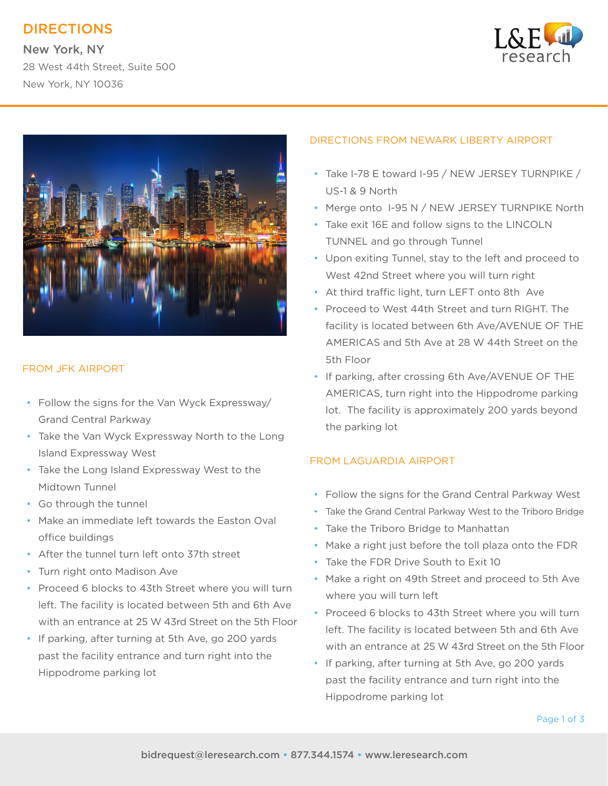# DIRECTIONS

New York, NY 28 West 44th Street, Suite 500 New York, NY 10036





## FROM JFK AIRPORT

- Follow the signs for the Van Wyck Expressway/ Grand Central Parkway
- Take the Van Wyck Expressway North to the Long Island Expressway West
- Take the Long Island Expressway West to the Midtown Tunnel
- Go through the tunnel
- Make an immediate left towards the Easton Oval office buildings
- After the tunnel turn left onto 37th street
- Turn right onto Madison Ave
- Proceed 6 blocks to 43th Street where you will turn left. The facility is located between 5th and 6th Ave with an entrance at 25 W 43rd Street on the 5th Floor
- If parking, after turning at 5th Ave, go 200 yards past the facility entrance and turn right into the Hippodrome parking lot

### DIRECTIONS FROM NEWARK LIBERTY AIRPORT

- Take I-78 E toward I-95 / NEW JERSEY TURNPIKE / US-1 & 9 North
- Merge onto I-95 N / NEW JERSEY TURNPIKE North
- Take exit 16E and follow signs to the LINCOLN TUNNEL and go through Tunnel
- Upon exiting Tunnel, stay to the left and proceed to West 42nd Street where you will turn right
- At third traffic light, turn LEFT onto 8th Ave
- Proceed to West 44th Street and turn RIGHT. The facility is located between 6th Ave/AVENUE OF THE AMERICAS and 5th Ave at 28 W 44th Street on the 5th Floor
- If parking, after crossing 6th Ave/AVENUE OF THE AMERICAS, turn right into the Hippodrome parking lot. The facility is approximately 200 yards beyond the parking lot

### FROM LAGUARDIA AIRPORT

- Follow the signs for the Grand Central Parkway West
- Take the Grand Central Parkway West to the Triboro Bridge
- Take the Triboro Bridge to Manhattan
- Make a right just before the toll plaza onto the FDR
- Take the FDR Drive South to Exit 10
- Make a right on 49th Street and proceed to 5th Ave where you will turn left
- Proceed 6 blocks to 43th Street where you will turn left. The facility is located between 5th and 6th Ave with an entrance at 25 W 43rd Street on the 5th Floor
- If parking, after turning at 5th Ave, go 200 yards past the facility entrance and turn right into the Hippodrome parking lot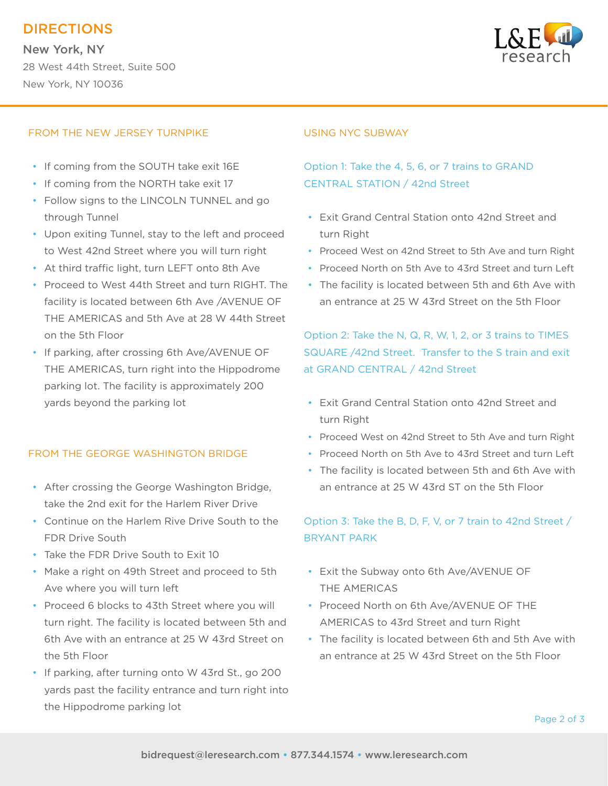# DIRECTIONS

New York, NY 28 West 44th Street, Suite 500 New York, NY 10036



#### FROM THE NEW JERSEY TURNPIKE

- If coming from the SOUTH take exit 16E
- If coming from the NORTH take exit 17
- Follow signs to the LINCOLN TUNNEL and go through Tunnel
- Upon exiting Tunnel, stay to the left and proceed to West 42nd Street where you will turn right
- At third traffic light, turn LEFT onto 8th Ave
- Proceed to West 44th Street and turn RIGHT. The facility is located between 6th Ave /AVENUE OF THE AMERICAS and 5th Ave at 28 W 44th Street on the 5th Floor
- If parking, after crossing 6th Ave/AVENUE OF THE AMERICAS, turn right into the Hippodrome parking lot. The facility is approximately 200 yards beyond the parking lot

### FROM THE GEORGE WASHINGTON BRIDGE

- After crossing the George Washington Bridge, take the 2nd exit for the Harlem River Drive
- Continue on the Harlem Rive Drive South to the FDR Drive South
- Take the FDR Drive South to Exit 10
- Make a right on 49th Street and proceed to 5th Ave where you will turn left
- Proceed 6 blocks to 43th Street where you will turn right. The facility is located between 5th and 6th Ave with an entrance at 25 W 43rd Street on the 5th Floor
- If parking, after turning onto W 43rd St., go 200 yards past the facility entrance and turn right into the Hippodrome parking lot

#### USING NYC SUBWAY

## Option 1: Take the 4, 5, 6, or 7 trains to GRAND CENTRAL STATION / 42nd Street

- Exit Grand Central Station onto 42nd Street and turn Right
- Proceed West on 42nd Street to 5th Ave and turn Right
- Proceed North on 5th Ave to 43rd Street and turn Left
- The facility is located between 5th and 6th Ave with an entrance at 25 W 43rd Street on the 5th Floor

## Option 2: Take the N, Q, R, W, 1, 2, or 3 trains to TIMES SQUARE /42nd Street. Transfer to the S train and exit at GRAND CENTRAL / 42nd Street

- Exit Grand Central Station onto 42nd Street and turn Right
- Proceed West on 42nd Street to 5th Ave and turn Right
- Proceed North on 5th Ave to 43rd Street and turn Left
- The facility is located between 5th and 6th Ave with an entrance at 25 W 43rd ST on the 5th Floor

## Option 3: Take the B, D, F, V, or 7 train to 42nd Street / BRYANT PARK

- Exit the Subway onto 6th Ave/AVENUE OF THE AMERICAS
- Proceed North on 6th Ave/AVENUE OF THE AMERICAS to 43rd Street and turn Right
- The facility is located between 6th and 5th Ave with an entrance at 25 W 43rd Street on the 5th Floor